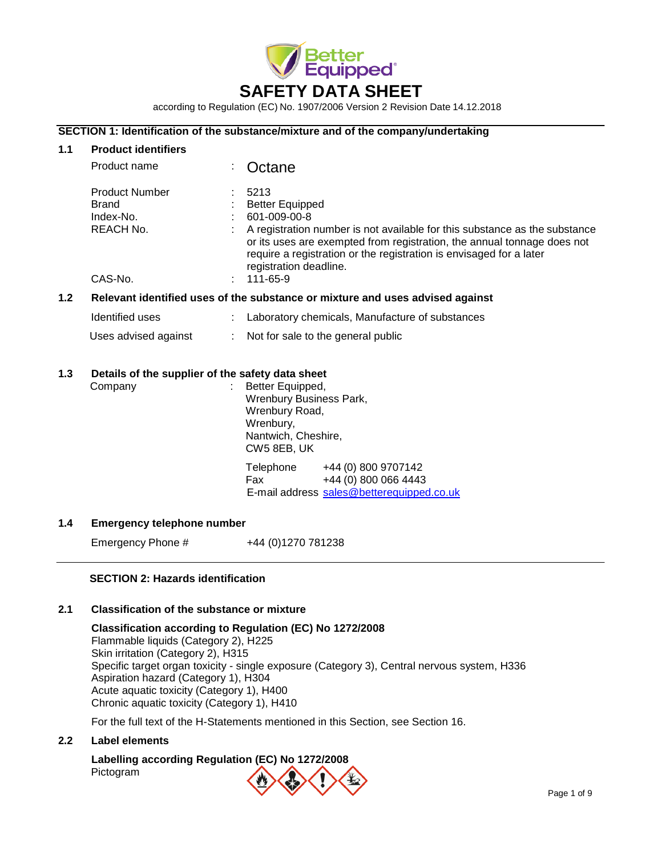

according to Regulation (EC) No. 1907/2006 Version 2 Revision Date 14.12.2018

## **SECTION 1: Identification of the substance/mixture and of the company/undertaking**

#### **1.1 Product identifiers**

|     | Product name                                                                  |  | Octane                                                                                                                                                                                                                                                                                                               |
|-----|-------------------------------------------------------------------------------|--|----------------------------------------------------------------------------------------------------------------------------------------------------------------------------------------------------------------------------------------------------------------------------------------------------------------------|
|     | <b>Product Number</b><br>Brand<br>Index-No.<br>REACH No.<br>CAS-No.           |  | 5213<br><b>Better Equipped</b><br>601-009-00-8<br>A registration number is not available for this substance as the substance<br>or its uses are exempted from registration, the annual tonnage does not<br>require a registration or the registration is envisaged for a later<br>registration deadline.<br>111-65-9 |
| 1.2 | Relevant identified uses of the substance or mixture and uses advised against |  |                                                                                                                                                                                                                                                                                                                      |
|     | Identified uses                                                               |  | Laboratory chemicals, Manufacture of substances                                                                                                                                                                                                                                                                      |
|     | Uses advised against                                                          |  | Not for sale to the general public                                                                                                                                                                                                                                                                                   |
| 1.3 | Details of the supplier of the safety data sheet<br>Company                   |  | Better Equipped,<br><b>Wrenbury Business Park,</b><br>Wrenbury Road,<br>Wrenbury,<br>Nantwich, Cheshire,<br>CW5 8EB, UK<br>Telephone<br>+44 (0) 800 9707142<br>+44 (0) 800 066 4443<br>Fax<br>E-mail address sales@betterequipped.co.uk                                                                              |

# **1.4 Emergency telephone number**

Emergency Phone #  $+44 (0)1270 781238$ 

# **SECTION 2: Hazards identification**

# **2.1 Classification of the substance or mixture**

**Classification according to Regulation (EC) No 1272/2008** Flammable liquids (Category 2), H225 Skin irritation (Category 2), H315 Specific target organ toxicity - single exposure (Category 3), Central nervous system, H336 Aspiration hazard (Category 1), H304 Acute aquatic toxicity (Category 1), H400 Chronic aquatic toxicity (Category 1), H410

For the full text of the H-Statements mentioned in this Section, see Section 16.

# **2.2 Label elements**

# **Labelling according Regulation (EC) No 1272/2008** Pictogram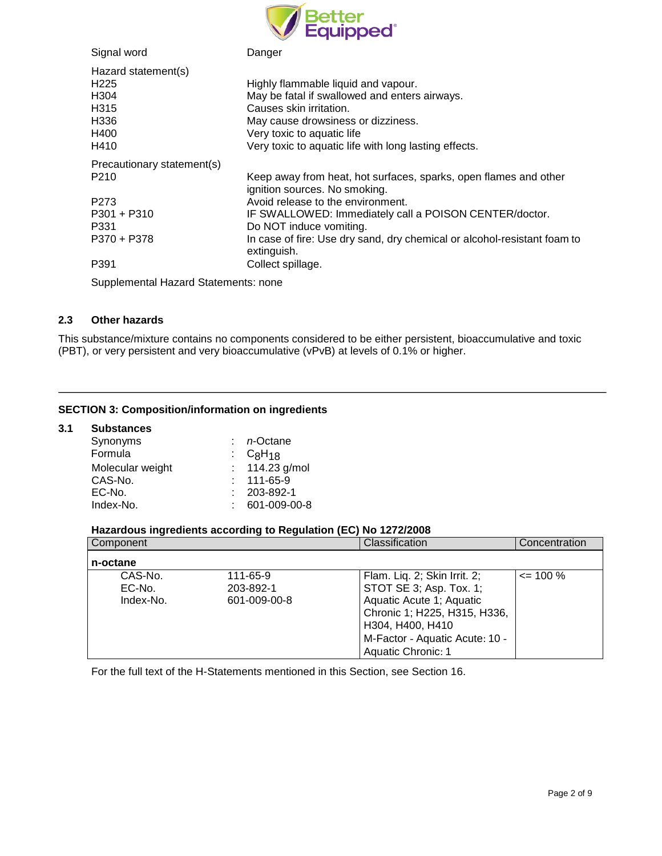

| Signal word                | Danger                                                                                            |
|----------------------------|---------------------------------------------------------------------------------------------------|
| Hazard statement(s)        |                                                                                                   |
| H <sub>225</sub>           | Highly flammable liquid and vapour.                                                               |
| H304                       | May be fatal if swallowed and enters airways.                                                     |
| H <sub>315</sub>           | Causes skin irritation.                                                                           |
| H336                       | May cause drowsiness or dizziness.                                                                |
| H400                       | Very toxic to aquatic life                                                                        |
| H410                       | Very toxic to aquatic life with long lasting effects.                                             |
| Precautionary statement(s) |                                                                                                   |
| P <sub>210</sub>           | Keep away from heat, hot surfaces, sparks, open flames and other<br>ignition sources. No smoking. |
| P <sub>273</sub>           | Avoid release to the environment.                                                                 |
| $P301 + P310$              | IF SWALLOWED: Immediately call a POISON CENTER/doctor.                                            |
| P331                       | Do NOT induce vomiting.                                                                           |
| P370 + P378                | In case of fire: Use dry sand, dry chemical or alcohol-resistant foam to<br>extinguish.           |
| P391                       | Collect spillage.                                                                                 |

Supplemental Hazard Statements: none

# **2.3 Other hazards**

This substance/mixture contains no components considered to be either persistent, bioaccumulative and toxic (PBT), or very persistent and very bioaccumulative (vPvB) at levels of 0.1% or higher.

## **SECTION 3: Composition/information on ingredients**

#### **3.1 Substances**

| Synonyms         | n-Octane         |  |
|------------------|------------------|--|
| Formula          | : $C_8H_{18}$    |  |
| Molecular weight | : 114.23 g/mol   |  |
| CAS-No.          | $: 111 - 65 - 9$ |  |
| EC-No.           | 203-892-1        |  |
| Index-No.        | 601-009-00-8     |  |

# **Hazardous ingredients according to Regulation (EC) No 1272/2008**

| Component |              | Classification                 | Concentration |
|-----------|--------------|--------------------------------|---------------|
| n-octane  |              |                                |               |
| CAS-No.   | 111-65-9     | Flam. Liq. 2; Skin Irrit. 2;   | $\leq$ 100 %  |
| EC-No.    | 203-892-1    | STOT SE 3; Asp. Tox. 1;        |               |
| Index-No. | 601-009-00-8 | Aquatic Acute 1; Aquatic       |               |
|           |              | Chronic 1; H225, H315, H336,   |               |
|           |              | H304, H400, H410               |               |
|           |              | M-Factor - Aquatic Acute: 10 - |               |
|           |              | Aquatic Chronic: 1             |               |

For the full text of the H-Statements mentioned in this Section, see Section 16.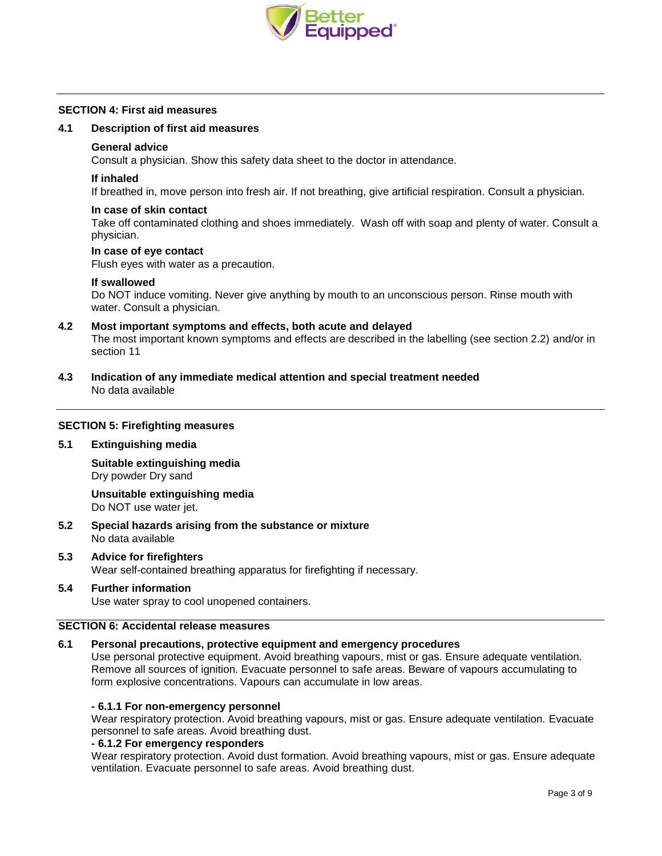

#### **SECTION 4: First aid measures**

#### **4.1 Description of first aid measures**

#### **General advice**

Consult a physician. Show this safety data sheet to the doctor in attendance.

#### **If inhaled**

If breathed in, move person into fresh air. If not breathing, give artificial respiration. Consult a physician.

#### **In case of skin contact**

Take off contaminated clothing and shoes immediately. Wash off with soap and plenty of water. Consult a physician.

#### **In case of eye contact**

Flush eyes with water as a precaution.

#### **If swallowed**

Do NOT induce vomiting. Never give anything by mouth to an unconscious person. Rinse mouth with water. Consult a physician.

#### **4.2 Most important symptoms and effects, both acute and delayed** The most important known symptoms and effects are described in the labelling (see section 2.2) and/or in section 11

**4.3 Indication of any immediate medical attention and special treatment needed** No data available

#### **SECTION 5: Firefighting measures**

#### **5.1 Extinguishing media**

**Suitable extinguishing media** Dry powder Dry sand

**Unsuitable extinguishing media** Do NOT use water jet.

- **5.2 Special hazards arising from the substance or mixture** No data available
- **5.3 Advice for firefighters** Wear self-contained breathing apparatus for firefighting if necessary.
- **5.4 Further information** Use water spray to cool unopened containers.

#### **SECTION 6: Accidental release measures**

# **6.1 Personal precautions, protective equipment and emergency procedures**

Use personal protective equipment. Avoid breathing vapours, mist or gas. Ensure adequate ventilation. Remove all sources of ignition. Evacuate personnel to safe areas. Beware of vapours accumulating to form explosive concentrations. Vapours can accumulate in low areas.

# **- 6.1.1 For non-emergency personnel**

Wear respiratory protection. Avoid breathing vapours, mist or gas. Ensure adequate ventilation. Evacuate personnel to safe areas. Avoid breathing dust.

# **- 6.1.2 For emergency responders**

Wear respiratory protection. Avoid dust formation. Avoid breathing vapours, mist or gas. Ensure adequate ventilation. Evacuate personnel to safe areas. Avoid breathing dust.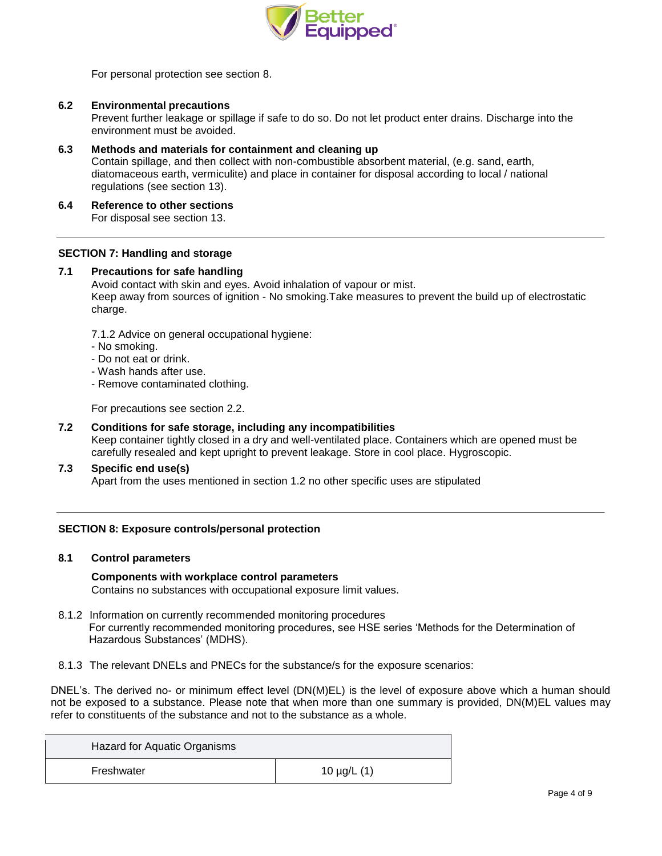

For personal protection see section 8.

## **6.2 Environmental precautions**

Prevent further leakage or spillage if safe to do so. Do not let product enter drains. Discharge into the environment must be avoided.

**6.3 Methods and materials for containment and cleaning up** Contain spillage, and then collect with non-combustible absorbent material, (e.g. sand, earth, diatomaceous earth, vermiculite) and place in container for disposal according to local / national regulations (see section 13).

#### **6.4 Reference to other sections**

For disposal see section 13.

#### **SECTION 7: Handling and storage**

## **7.1 Precautions for safe handling**

Avoid contact with skin and eyes. Avoid inhalation of vapour or mist. Keep away from sources of ignition - No smoking.Take measures to prevent the build up of electrostatic charge.

7.1.2 Advice on general occupational hygiene:

- No smoking.
- Do not eat or drink.
- Wash hands after use.
- Remove contaminated clothing.

For precautions see section 2.2.

# **7.2 Conditions for safe storage, including any incompatibilities**

Keep container tightly closed in a dry and well-ventilated place. Containers which are opened must be carefully resealed and kept upright to prevent leakage. Store in cool place. Hygroscopic.

#### **7.3 Specific end use(s)**

Apart from the uses mentioned in section 1.2 no other specific uses are stipulated

#### **SECTION 8: Exposure controls/personal protection**

#### **8.1 Control parameters**

#### **Components with workplace control parameters**

Contains no substances with occupational exposure limit values.

- 8.1.2 Information on currently recommended monitoring procedures For currently recommended monitoring procedures, see HSE series 'Methods for the Determination of Hazardous Substances' (MDHS).
- 8.1.3 The relevant DNELs and PNECs for the substance/s for the exposure scenarios:

DNEL's. The derived no- or minimum effect level (DN(M)EL) is the level of exposure above which a human should not be exposed to a substance. Please note that when more than one summary is provided, DN(M)EL values may refer to constituents of the substance and not to the substance as a whole.

| Hazard for Aquatic Organisms |                    |
|------------------------------|--------------------|
| Freshwater                   | 10 $\mu$ g/L $(1)$ |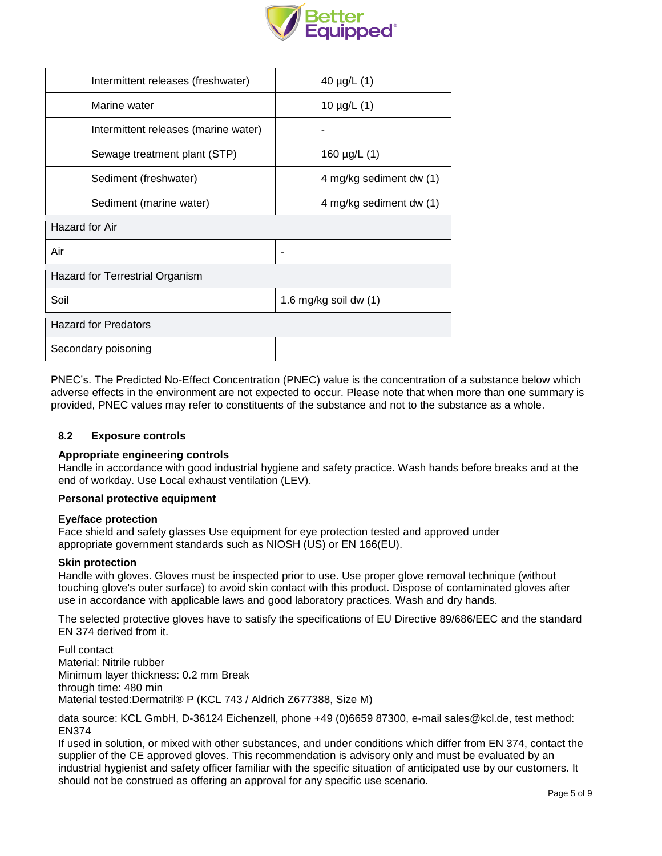

| Intermittent releases (freshwater)   | 40 $\mu$ g/L $(1)$      |  |
|--------------------------------------|-------------------------|--|
| Marine water                         | 10 $\mu$ g/L $(1)$      |  |
| Intermittent releases (marine water) |                         |  |
| Sewage treatment plant (STP)         | 160 $\mu$ g/L $(1)$     |  |
| Sediment (freshwater)                | 4 mg/kg sediment dw (1) |  |
| Sediment (marine water)              | 4 mg/kg sediment dw (1) |  |
| Hazard for Air                       |                         |  |
| Air                                  |                         |  |
| Hazard for Terrestrial Organism      |                         |  |
| Soil                                 | 1.6 mg/kg soil dw $(1)$ |  |
| <b>Hazard for Predators</b>          |                         |  |
| Secondary poisoning                  |                         |  |

PNEC's. The Predicted No-Effect Concentration (PNEC) value is the concentration of a substance below which adverse effects in the environment are not expected to occur. Please note that when more than one summary is provided, PNEC values may refer to constituents of the substance and not to the substance as a whole.

# **8.2 Exposure controls**

# **Appropriate engineering controls**

Handle in accordance with good industrial hygiene and safety practice. Wash hands before breaks and at the end of workday. Use Local exhaust ventilation (LEV).

#### **Personal protective equipment**

#### **Eye/face protection**

Face shield and safety glasses Use equipment for eye protection tested and approved under appropriate government standards such as NIOSH (US) or EN 166(EU).

#### **Skin protection**

Handle with gloves. Gloves must be inspected prior to use. Use proper glove removal technique (without touching glove's outer surface) to avoid skin contact with this product. Dispose of contaminated gloves after use in accordance with applicable laws and good laboratory practices. Wash and dry hands.

The selected protective gloves have to satisfy the specifications of EU Directive 89/686/EEC and the standard EN 374 derived from it.

Full contact Material: Nitrile rubber Minimum layer thickness: 0.2 mm Break through time: 480 min Material tested:Dermatril® P (KCL 743 / Aldrich Z677388, Size M)

data source: KCL GmbH, D-36124 Eichenzell, phone +49 (0)6659 87300, e-mail [sales@kcl.de,](mailto:sales@kcl.de) test method: EN374

If used in solution, or mixed with other substances, and under conditions which differ from EN 374, contact the supplier of the CE approved gloves. This recommendation is advisory only and must be evaluated by an industrial hygienist and safety officer familiar with the specific situation of anticipated use by our customers. It should not be construed as offering an approval for any specific use scenario.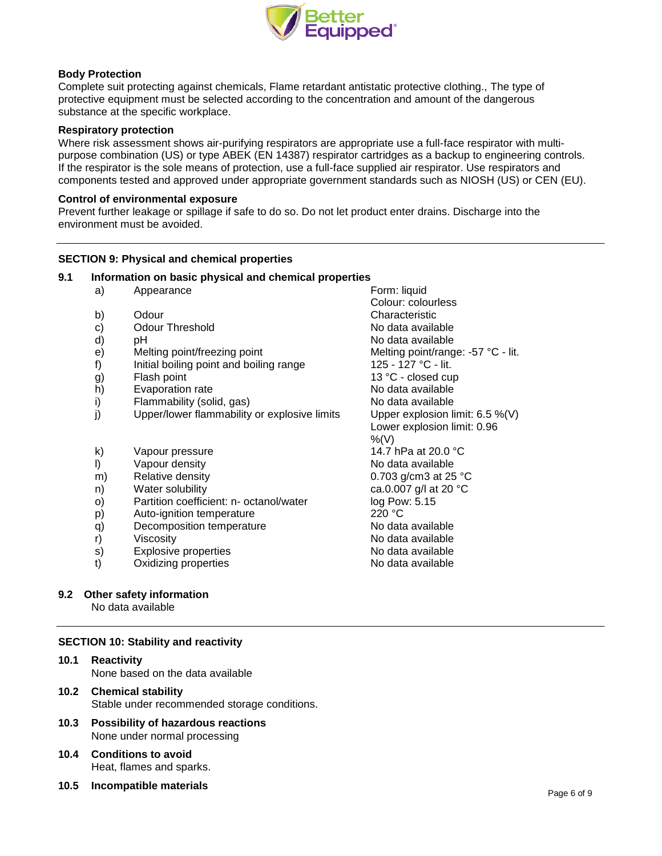

# **Body Protection**

Complete suit protecting against chemicals, Flame retardant antistatic protective clothing., The type of protective equipment must be selected according to the concentration and amount of the dangerous substance at the specific workplace.

#### **Respiratory protection**

Where risk assessment shows air-purifying respirators are appropriate use a full-face respirator with multipurpose combination (US) or type ABEK (EN 14387) respirator cartridges as a backup to engineering controls. If the respirator is the sole means of protection, use a full-face supplied air respirator. Use respirators and components tested and approved under appropriate government standards such as NIOSH (US) or CEN (EU).

#### **Control of environmental exposure**

Prevent further leakage or spillage if safe to do so. Do not let product enter drains. Discharge into the environment must be avoided.

# **SECTION 9: Physical and chemical properties**

#### **9.1 Information on basic physical and chemical properties**

- a) Appearance Form: liquid
- 
- c) Odour Threshold Collection Controller Collection No data available
- 
- 
- f) Initial boiling point and boiling range
- 
- h) Evaporation rate **No assume that is a more than the Evaporation rate** No data available
- i) Flammability (solid, gas) No data available
- j) Upper/lower flammability or explosive limits Upper explosion limit: 6.5 %(V)
- k) Vapour pressure 14.7 hPa at 20.0 °C
- l) Vapour density No data available
- m) Relative density 0.703 g/cm3 at 25 °C
- n) Water solubility ca.0.007 g/l at 20 °C
- o) Partition coefficient: n- octanol/water log Pow: 5.15
- p) Auto-ignition temperature 220 °C
- q) Decomposition temperature No data available
- 
- s) Explosive properties No data available
- t) Oxidizing properties No data available

# **9.2 Other safety information**

No data available

#### **SECTION 10: Stability and reactivity**

- **10.1 Reactivity** None based on the data available
- **10.2 Chemical stability** Stable under recommended storage conditions.
- **10.3 Possibility of hazardous reactions** None under normal processing
- **10.4 Conditions to avoid** Heat, flames and sparks.
- **10.5 Incompatible materials**

Colour: colourless b) Odour Characteristic d) pH  $\blacksquare$  pH  $\blacksquare$  pH  $\blacksquare$  and  $\blacksquare$  and  $\blacksquare$  and  $\blacksquare$  and  $\blacksquare$  and  $\blacksquare$  and  $\blacksquare$  and  $\blacksquare$  and  $\blacksquare$  and  $\blacksquare$  and  $\blacksquare$  and  $\blacksquare$  and  $\blacksquare$  and  $\blacksquare$  and  $\blacksquare$  and  $\blacksquare$  and  $\blacksquare$  and  $\blacksquare$  an e) Melting point/freezing point Melting point/range: -57 °C - lit.<br>
f) Initial boiling point and boiling range  $125 - 127$  °C - lit. g) Flash point 13 °C - closed cup Lower explosion limit: 0.96  $%(V)$ r) Viscosity **No data available**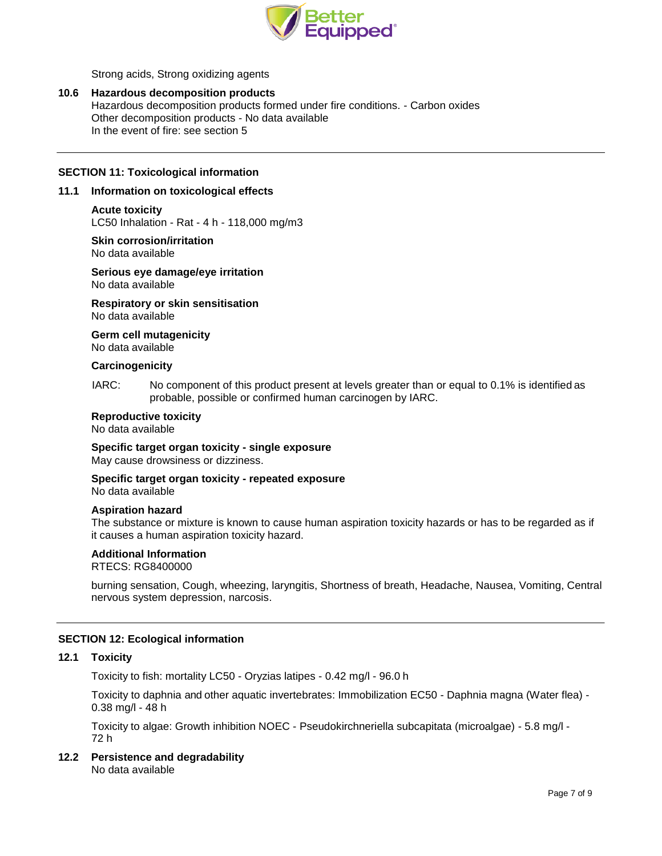

Strong acids, Strong oxidizing agents

### **10.6 Hazardous decomposition products**

Hazardous decomposition products formed under fire conditions. - Carbon oxides Other decomposition products - No data available In the event of fire: see section 5

# **SECTION 11: Toxicological information**

### **11.1 Information on toxicological effects**

#### **Acute toxicity**

LC50 Inhalation - Rat - 4 h - 118,000 mg/m3

#### **Skin corrosion/irritation** No data available

# **Serious eye damage/eye irritation**

No data available

**Respiratory or skin sensitisation** No data available

#### **Germ cell mutagenicity**

No data available

#### **Carcinogenicity**

IARC: No component of this product present at levels greater than or equal to 0.1% is identified as probable, possible or confirmed human carcinogen by IARC.

# **Reproductive toxicity**

No data available

# **Specific target organ toxicity - single exposure**

May cause drowsiness or dizziness.

# **Specific target organ toxicity - repeated exposure**

No data available

#### **Aspiration hazard**

The substance or mixture is known to cause human aspiration toxicity hazards or has to be regarded as if it causes a human aspiration toxicity hazard.

#### **Additional Information**

RTECS: RG8400000

burning sensation, Cough, wheezing, laryngitis, Shortness of breath, Headache, Nausea, Vomiting, Central nervous system depression, narcosis.

# **SECTION 12: Ecological information**

### **12.1 Toxicity**

Toxicity to fish: mortality LC50 - Oryzias latipes - 0.42 mg/l - 96.0 h

Toxicity to daphnia and other aquatic invertebrates: Immobilization EC50 - Daphnia magna (Water flea) - 0.38 mg/l - 48 h

Toxicity to algae: Growth inhibition NOEC - Pseudokirchneriella subcapitata (microalgae) - 5.8 mg/l - 72 h

# **12.2 Persistence and degradability**

No data available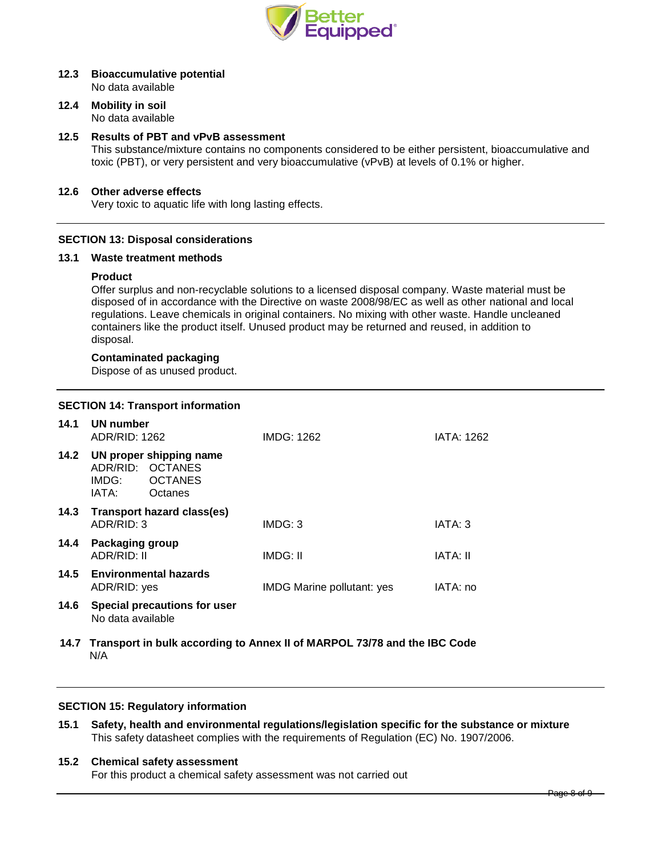

# **12.3 Bioaccumulative potential**

No data available

#### **12.4 Mobility in soil** No data available

# **12.5 Results of PBT and vPvB assessment**

This substance/mixture contains no components considered to be either persistent, bioaccumulative and toxic (PBT), or very persistent and very bioaccumulative (vPvB) at levels of 0.1% or higher.

# **12.6 Other adverse effects**

Very toxic to aquatic life with long lasting effects.

# **SECTION 13: Disposal considerations**

#### **13.1 Waste treatment methods**

#### **Product**

Offer surplus and non-recyclable solutions to a licensed disposal company. Waste material must be disposed of in accordance with the Directive on waste 2008/98/EC as well as other national and local regulations. Leave chemicals in original containers. No mixing with other waste. Handle uncleaned containers like the product itself. Unused product may be returned and reused, in addition to disposal.

#### **Contaminated packaging**

Dispose of as unused product.

# **SECTION 14: Transport information**

| 14.1 | UN number<br>ADR/RID: 1262                      |                                                                          | IMDG: 1262                        | <b>IATA: 1262</b> |
|------|-------------------------------------------------|--------------------------------------------------------------------------|-----------------------------------|-------------------|
| 14.2 | IMDG:<br>IATA:                                  | UN proper shipping name<br>ADR/RID: OCTANES<br><b>OCTANES</b><br>Octanes |                                   |                   |
| 14.3 | <b>Transport hazard class(es)</b><br>ADR/RID: 3 |                                                                          | IMDG: 3                           | IATA: 3           |
| 14.4 | <b>Packaging group</b><br>ADR/RID: II           |                                                                          | IMDG: II                          | <b>IATA: II</b>   |
|      | ADR/RID: yes                                    | 14.5 Environmental hazards                                               | <b>IMDG Marine pollutant: yes</b> | IATA: no          |
| 14.6 | No data available                               | Special precautions for user                                             |                                   |                   |

 **14.7 Transport in bulk according to Annex II of MARPOL 73/78 and the IBC Code** N/A

# **SECTION 15: Regulatory information**

**15.1 Safety, health and environmental regulations/legislation specific for the substance or mixture** This safety datasheet complies with the requirements of Regulation (EC) No. 1907/2006.

## **15.2 Chemical safety assessment**

For this product a chemical safety assessment was not carried out